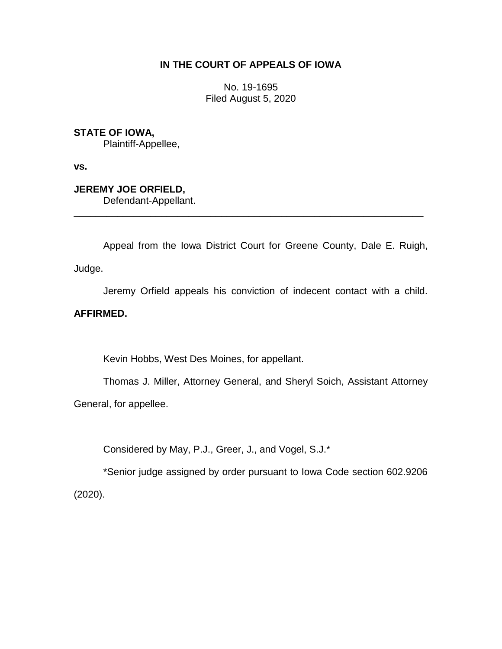## **IN THE COURT OF APPEALS OF IOWA**

No. 19-1695 Filed August 5, 2020

## **STATE OF IOWA,**

Plaintiff-Appellee,

**vs.**

# **JEREMY JOE ORFIELD,**

Defendant-Appellant.

Appeal from the Iowa District Court for Greene County, Dale E. Ruigh, Judge.

\_\_\_\_\_\_\_\_\_\_\_\_\_\_\_\_\_\_\_\_\_\_\_\_\_\_\_\_\_\_\_\_\_\_\_\_\_\_\_\_\_\_\_\_\_\_\_\_\_\_\_\_\_\_\_\_\_\_\_\_\_\_\_\_

Jeremy Orfield appeals his conviction of indecent contact with a child.

# **AFFIRMED.**

Kevin Hobbs, West Des Moines, for appellant.

Thomas J. Miller, Attorney General, and Sheryl Soich, Assistant Attorney General, for appellee.

Considered by May, P.J., Greer, J., and Vogel, S.J.\*

\*Senior judge assigned by order pursuant to Iowa Code section 602.9206 (2020).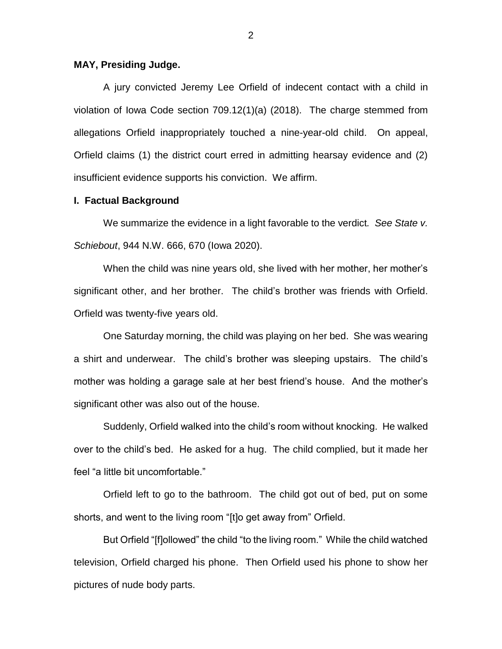### **MAY, Presiding Judge.**

A jury convicted Jeremy Lee Orfield of indecent contact with a child in violation of Iowa Code section 709.12(1)(a) (2018). The charge stemmed from allegations Orfield inappropriately touched a nine-year-old child. On appeal, Orfield claims (1) the district court erred in admitting hearsay evidence and (2) insufficient evidence supports his conviction. We affirm.

### **I. Factual Background**

We summarize the evidence in a light favorable to the verdict*. See State v. Schiebout*, 944 N.W. 666, 670 (Iowa 2020).

When the child was nine years old, she lived with her mother, her mother's significant other, and her brother. The child's brother was friends with Orfield. Orfield was twenty-five years old.

One Saturday morning, the child was playing on her bed. She was wearing a shirt and underwear. The child's brother was sleeping upstairs. The child's mother was holding a garage sale at her best friend's house. And the mother's significant other was also out of the house.

Suddenly, Orfield walked into the child's room without knocking. He walked over to the child's bed. He asked for a hug. The child complied, but it made her feel "a little bit uncomfortable."

Orfield left to go to the bathroom. The child got out of bed, put on some shorts, and went to the living room "[t]o get away from" Orfield.

But Orfield "[f]ollowed" the child "to the living room." While the child watched television, Orfield charged his phone. Then Orfield used his phone to show her pictures of nude body parts.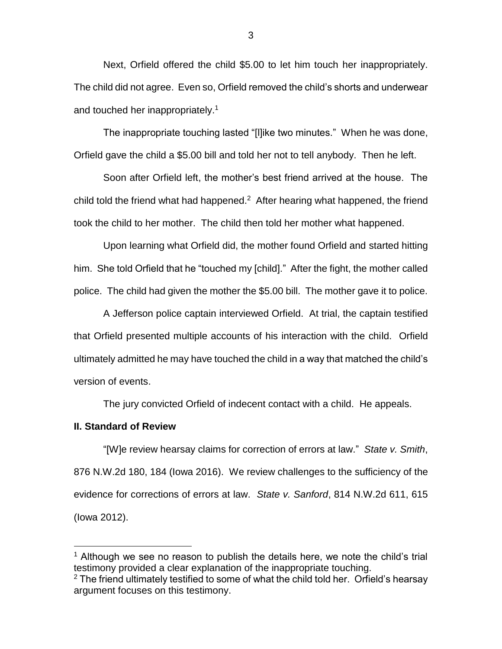Next, Orfield offered the child \$5.00 to let him touch her inappropriately. The child did not agree. Even so, Orfield removed the child's shorts and underwear and touched her inappropriately.<sup>1</sup>

The inappropriate touching lasted "[l]ike two minutes." When he was done, Orfield gave the child a \$5.00 bill and told her not to tell anybody. Then he left.

Soon after Orfield left, the mother's best friend arrived at the house. The child told the friend what had happened. $2$  After hearing what happened, the friend took the child to her mother. The child then told her mother what happened.

Upon learning what Orfield did, the mother found Orfield and started hitting him. She told Orfield that he "touched my [child]." After the fight, the mother called police. The child had given the mother the \$5.00 bill. The mother gave it to police.

A Jefferson police captain interviewed Orfield. At trial, the captain testified that Orfield presented multiple accounts of his interaction with the child. Orfield ultimately admitted he may have touched the child in a way that matched the child's version of events.

The jury convicted Orfield of indecent contact with a child. He appeals.

#### **II. Standard of Review**

 $\overline{a}$ 

"[W]e review hearsay claims for correction of errors at law." *State v. Smith*, 876 N.W.2d 180, 184 (Iowa 2016). We review challenges to the sufficiency of the evidence for corrections of errors at law. *State v. Sanford*, 814 N.W.2d 611, 615 (Iowa 2012).

3

<sup>&</sup>lt;sup>1</sup> Although we see no reason to publish the details here, we note the child's trial testimony provided a clear explanation of the inappropriate touching.  $2$  The friend ultimately testified to some of what the child told her. Orfield's hearsay argument focuses on this testimony.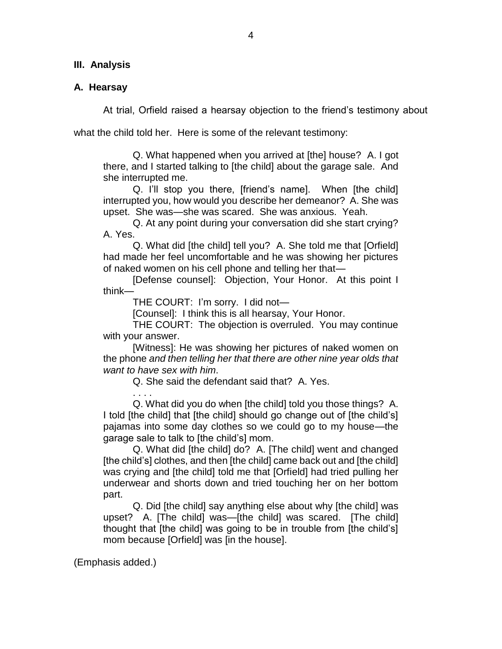## **III. Analysis**

## **A. Hearsay**

At trial, Orfield raised a hearsay objection to the friend's testimony about

what the child told her. Here is some of the relevant testimony:

Q. What happened when you arrived at [the] house? A. I got there, and I started talking to [the child] about the garage sale. And she interrupted me.

Q. I'll stop you there, [friend's name]. When [the child] interrupted you, how would you describe her demeanor? A. She was upset. She was—she was scared. She was anxious. Yeah.

Q. At any point during your conversation did she start crying? A. Yes.

Q. What did [the child] tell you? A. She told me that [Orfield] had made her feel uncomfortable and he was showing her pictures of naked women on his cell phone and telling her that—

[Defense counsel]: Objection, Your Honor. At this point I think—

THE COURT: I'm sorry. I did not—

[Counsel]: I think this is all hearsay, Your Honor.

THE COURT: The objection is overruled. You may continue with your answer.

[Witness]: He was showing her pictures of naked women on the phone *and then telling her that there are other nine year olds that want to have sex with him*.

Q. She said the defendant said that? A. Yes.

. . . . Q. What did you do when [the child] told you those things? A. I told [the child] that [the child] should go change out of [the child's] pajamas into some day clothes so we could go to my house—the garage sale to talk to [the child's] mom.

Q. What did [the child] do? A. [The child] went and changed [the child's] clothes, and then [the child] came back out and [the child] was crying and [the child] told me that [Orfield] had tried pulling her underwear and shorts down and tried touching her on her bottom part.

Q. Did [the child] say anything else about why [the child] was upset? A. [The child] was—[the child] was scared. [The child] thought that [the child] was going to be in trouble from [the child's] mom because [Orfield] was [in the house].

(Emphasis added.)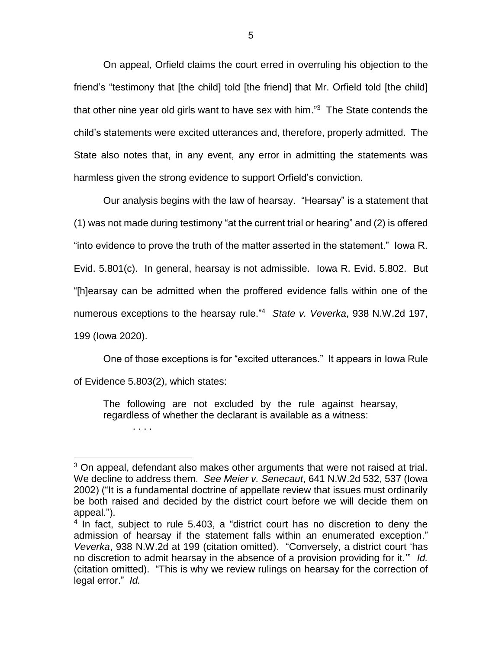On appeal, Orfield claims the court erred in overruling his objection to the friend's "testimony that [the child] told [the friend] that Mr. Orfield told [the child] that other nine year old girls want to have sex with him."<sup>3</sup> The State contends the child's statements were excited utterances and, therefore, properly admitted. The State also notes that, in any event, any error in admitting the statements was harmless given the strong evidence to support Orfield's conviction.

Our analysis begins with the law of hearsay. "Hearsay" is a statement that (1) was not made during testimony "at the current trial or hearing" and (2) is offered "into evidence to prove the truth of the matter asserted in the statement." Iowa R. Evid. 5.801(c). In general, hearsay is not admissible. Iowa R. Evid. 5.802. But "[h]earsay can be admitted when the proffered evidence falls within one of the numerous exceptions to the hearsay rule."<sup>4</sup> *State v. Veverka*, 938 N.W.2d 197, 199 (Iowa 2020).

One of those exceptions is for "excited utterances." It appears in Iowa Rule of Evidence 5.803(2), which states:

The following are not excluded by the rule against hearsay, regardless of whether the declarant is available as a witness:

. . . .

 $\overline{a}$ 

 $3$  On appeal, defendant also makes other arguments that were not raised at trial. We decline to address them. *See Meier v. Senecaut*, 641 N.W.2d 532, 537 (Iowa 2002) ("It is a fundamental doctrine of appellate review that issues must ordinarily be both raised and decided by the district court before we will decide them on appeal.").

<sup>&</sup>lt;sup>4</sup> In fact, subject to rule 5.403, a "district court has no discretion to deny the admission of hearsay if the statement falls within an enumerated exception." *Veverka*, 938 N.W.2d at 199 (citation omitted). "Conversely, a district court 'has no discretion to admit hearsay in the absence of a provision providing for it.'" *Id.* (citation omitted). "This is why we review rulings on hearsay for the correction of legal error." *Id.*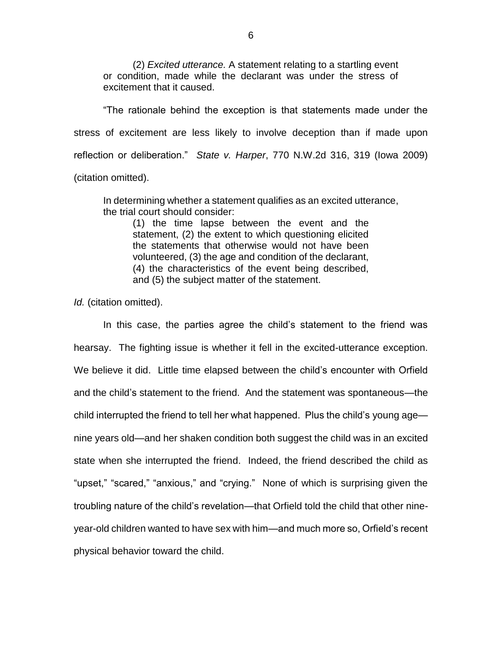(2) *Excited utterance.* A statement relating to a startling event or condition, made while the declarant was under the stress of excitement that it caused.

"The rationale behind the exception is that statements made under the stress of excitement are less likely to involve deception than if made upon reflection or deliberation." *State v. Harper*, 770 N.W.2d 316, 319 (Iowa 2009) (citation omitted).

In determining whether a statement qualifies as an excited utterance, the trial court should consider:

(1) the time lapse between the event and the statement, (2) the extent to which questioning elicited the statements that otherwise would not have been volunteered, (3) the age and condition of the declarant, (4) the characteristics of the event being described, and (5) the subject matter of the statement.

*Id.* (citation omitted).

In this case, the parties agree the child's statement to the friend was hearsay. The fighting issue is whether it fell in the excited-utterance exception. We believe it did. Little time elapsed between the child's encounter with Orfield and the child's statement to the friend. And the statement was spontaneous—the child interrupted the friend to tell her what happened. Plus the child's young age nine years old—and her shaken condition both suggest the child was in an excited state when she interrupted the friend. Indeed, the friend described the child as "upset," "scared," "anxious," and "crying." None of which is surprising given the troubling nature of the child's revelation—that Orfield told the child that other nineyear-old children wanted to have sex with him—and much more so, Orfield's recent physical behavior toward the child.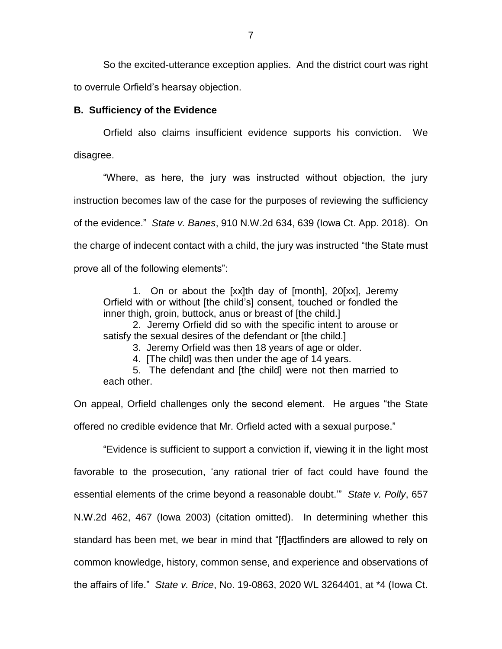So the excited-utterance exception applies. And the district court was right to overrule Orfield's hearsay objection.

### **B. Sufficiency of the Evidence**

Orfield also claims insufficient evidence supports his conviction. We disagree.

"Where, as here, the jury was instructed without objection, the jury instruction becomes law of the case for the purposes of reviewing the sufficiency of the evidence." *State v. Banes*, 910 N.W.2d 634, 639 (Iowa Ct. App. 2018). On the charge of indecent contact with a child, the jury was instructed "the State must prove all of the following elements":

1. On or about the [xx]th day of [month], 20[xx], Jeremy Orfield with or without [the child's] consent, touched or fondled the inner thigh, groin, buttock, anus or breast of [the child.]

2. Jeremy Orfield did so with the specific intent to arouse or satisfy the sexual desires of the defendant or [the child.]

3. Jeremy Orfield was then 18 years of age or older.

4. [The child] was then under the age of 14 years.

5. The defendant and [the child] were not then married to each other.

On appeal, Orfield challenges only the second element. He argues "the State offered no credible evidence that Mr. Orfield acted with a sexual purpose."

"Evidence is sufficient to support a conviction if, viewing it in the light most favorable to the prosecution, 'any rational trier of fact could have found the essential elements of the crime beyond a reasonable doubt.'" *State v. Polly*, 657 N.W.2d 462, 467 (Iowa 2003) (citation omitted). In determining whether this standard has been met, we bear in mind that "[f]actfinders are allowed to rely on common knowledge, history, common sense, and experience and observations of the affairs of life." *State v. Brice*, No. 19-0863, 2020 WL 3264401, at \*4 (Iowa Ct.